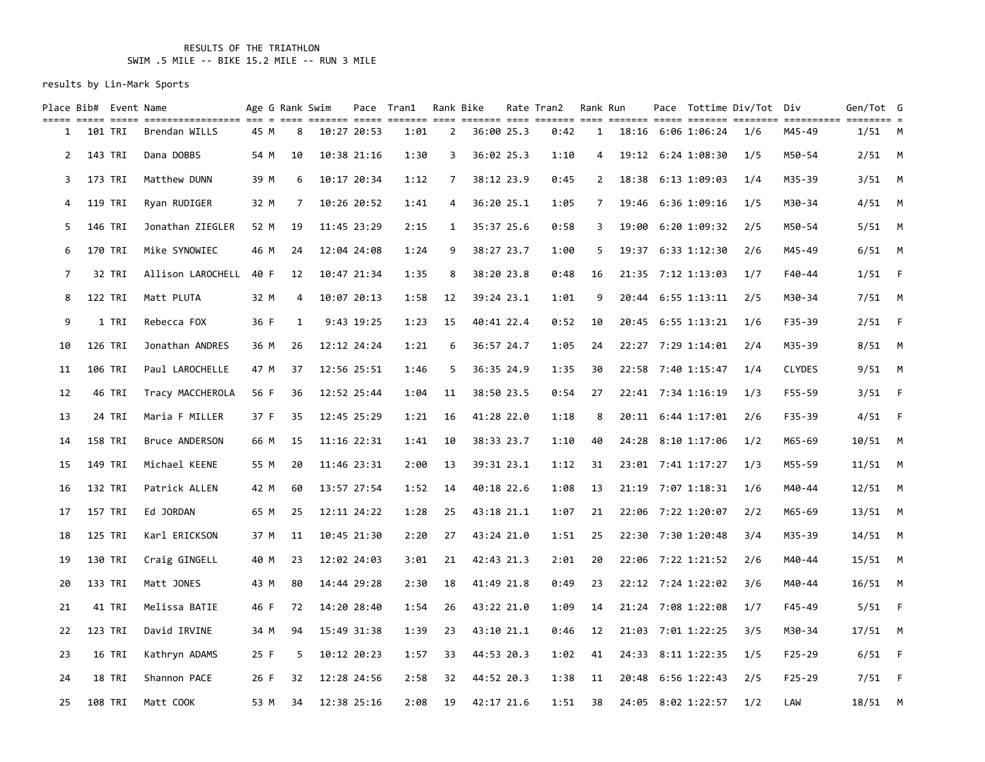### RESULTS OF THE TRIATHLON SWIM .5 MILE -- BIKE 15.2 MILE -- RUN 3 MILE

| Place Bib# Event Name |         |        | title eiste steit sichtititititite ein a sien sichten eiste eiste eist eisten eist eisten eiste sichten eisteiten eisteiten eisteite e |      | Age G Rank Swim |             | Pace Tran1 |                | Rank Bike  | Rate Tran2 | Rank Run     |  |                    | Pace Tottime Div/Tot Div |               | Gen/Tot G |          |
|-----------------------|---------|--------|----------------------------------------------------------------------------------------------------------------------------------------|------|-----------------|-------------|------------|----------------|------------|------------|--------------|--|--------------------|--------------------------|---------------|-----------|----------|
| 1                     | 101 TRI |        | Brendan WILLS                                                                                                                          | 45 M | 8               | 10:27 20:53 | 1:01       | $\overline{2}$ | 36:00 25.3 | 0:42       | $\mathbf{1}$ |  | 18:16 6:06 1:06:24 | 1/6                      | M45-49        | $1/51$ M  |          |
| 2                     | 143 TRI |        | Dana DOBBS                                                                                                                             | 54 M | 10              | 10:38 21:16 | 1:30       | 3              | 36:02 25.3 | 1:10       | 4            |  | 19:12 6:24 1:08:30 | 1/5                      | M50-54        | $2/51$ M  |          |
| 3                     | 173 TRI |        | Matthew DUNN                                                                                                                           | 39 M | 6               | 10:17 20:34 | 1:12       | 7              | 38:12 23.9 | 0:45       | $\mathbf{2}$ |  | 18:38 6:13 1:09:03 | 1/4                      | M35-39        | $3/51$ M  |          |
| 4                     | 119 TRI |        | Ryan RUDIGER                                                                                                                           | 32 M | 7               | 10:26 20:52 | 1:41       | 4              | 36:20 25.1 | 1:05       | 7            |  | 19:46 6:36 1:09:16 | 1/5                      | M30-34        | $4/51$ M  |          |
| 5                     | 146 TRI |        | Jonathan ZIEGLER                                                                                                                       | 52 M | 19              | 11:45 23:29 | 2:15       | $\mathbf{1}$   | 35:37 25.6 | 0:58       | 3            |  | 19:00 6:20 1:09:32 | 2/5                      | M50-54        | $5/51$ M  |          |
| 6                     | 170 TRI |        | Mike SYNOWIEC                                                                                                                          | 46 M | 24              | 12:04 24:08 | 1:24       | 9              | 38:27 23.7 | 1:00       | 5            |  | 19:37 6:33 1:12:30 | 2/6                      | M45-49        | $6/51$ M  |          |
| 7                     |         | 32 TRI | Allison LAROCHELL 40 F                                                                                                                 |      | 12              | 10:47 21:34 | 1:35       | 8              | 38:20 23.8 | 0:48       | 16           |  | 21:35 7:12 1:13:03 | 1/7                      | F40-44        | 1/51      | - F      |
| 8                     | 122 TRI |        | Matt PLUTA                                                                                                                             | 32 M | 4               | 10:07 20:13 | 1:58       | 12             | 39:24 23.1 | 1:01       | 9            |  | 20:44 6:55 1:13:11 | 2/5                      | M30-34        | 7/51      | <b>M</b> |
| 9                     |         | 1 TRI  | Rebecca FOX                                                                                                                            | 36 F | $\mathbf{1}$    | 9:43 19:25  | 1:23       | 15             | 40:41 22.4 | 0:52       | 10           |  | 20:45 6:55 1:13:21 | 1/6                      | F35-39        | $2/51$ F  |          |
| 10                    | 126 TRI |        | Jonathan ANDRES                                                                                                                        | 36 M | 26              | 12:12 24:24 | 1:21       | 6              | 36:57 24.7 | 1:05       | 24           |  | 22:27 7:29 1:14:01 | 2/4                      | M35-39        | 8/51      | <b>M</b> |
| 11                    | 106 TRI |        | Paul LAROCHELLE                                                                                                                        | 47 M | 37              | 12:56 25:51 | 1:46       | 5              | 36:35 24.9 | 1:35       | 30           |  | 22:58 7:40 1:15:47 | 1/4                      | <b>CLYDES</b> | $9/51$ M  |          |
| 12                    |         | 46 TRI | Tracy MACCHEROLA                                                                                                                       | 56 F | 36              | 12:52 25:44 | 1:04       | 11             | 38:50 23.5 | 0:54       | 27           |  | 22:41 7:34 1:16:19 | 1/3                      | F55-59        | 3/51      | $-F$     |
| 13                    |         | 24 TRI | Maria F MILLER                                                                                                                         | 37 F | 35              | 12:45 25:29 | 1:21       | 16             | 41:28 22.0 | 1:18       | 8            |  | 20:11 6:44 1:17:01 | 2/6                      | F35-39        | 4/51      | $-F$     |
| 14                    | 158 TRI |        | Bruce ANDERSON                                                                                                                         | 66 M | 15              | 11:16 22:31 | 1:41       | 10             | 38:33 23.7 | 1:10       | 40           |  | 24:28 8:10 1:17:06 | 1/2                      | M65-69        | 10/51     | <b>M</b> |
| 15                    | 149 TRI |        | Michael KEENE                                                                                                                          | 55 M | 20              | 11:46 23:31 | 2:00       | 13             | 39:31 23.1 | 1:12       | 31           |  | 23:01 7:41 1:17:27 | 1/3                      | M55-59        | $11/51$ M |          |
| 16                    | 132 TRI |        | Patrick ALLEN                                                                                                                          | 42 M | 60              | 13:57 27:54 | 1:52       | 14             | 40:18 22.6 | 1:08       | 13           |  | 21:19 7:07 1:18:31 | 1/6                      | M40-44        | $12/51$ M |          |
| 17                    | 157 TRI |        | Ed JORDAN                                                                                                                              | 65 M | 25              | 12:11 24:22 | 1:28       | 25             | 43:18 21.1 | 1:07       | 21           |  | 22:06 7:22 1:20:07 | 2/2                      | M65-69        | $13/51$ M |          |
| 18                    | 125 TRI |        | Karl ERICKSON                                                                                                                          | 37 M | 11              | 10:45 21:30 | 2:20       | 27             | 43:24 21.0 | 1:51       | 25           |  | 22:30 7:30 1:20:48 | 3/4                      | M35-39        | $14/51$ M |          |
| 19                    | 130 TRI |        | Craig GINGELL                                                                                                                          | 40 M | 23              | 12:02 24:03 | 3:01       | 21             | 42:43 21.3 | 2:01       | 20           |  | 22:06 7:22 1:21:52 | 2/6                      | M40-44        | $15/51$ M |          |
| 20                    | 133 TRI |        | Matt JONES                                                                                                                             | 43 M | 80              | 14:44 29:28 | 2:30       | 18             | 41:49 21.8 | 0:49       | 23           |  | 22:12 7:24 1:22:02 | 3/6                      | M40-44        | $16/51$ M |          |
| 21                    |         | 41 TRI | Melissa BATIE                                                                                                                          | 46 F | 72              | 14:20 28:40 | 1:54       | 26             | 43:22 21.0 | 1:09       | 14           |  | 21:24 7:08 1:22:08 | 1/7                      | F45-49        | 5/51      | $-F$     |
| 22                    | 123 TRI |        | David IRVINE                                                                                                                           | 34 M | 94              | 15:49 31:38 | 1:39       | 23             | 43:10 21.1 | 0:46       | 12           |  | 21:03 7:01 1:22:25 | 3/5                      | M30-34        | $17/51$ M |          |
| 23                    |         | 16 TRI | Kathryn ADAMS                                                                                                                          | 25 F | 5               | 10:12 20:23 | 1:57       | 33             | 44:53 20.3 | 1:02       | 41           |  | 24:33 8:11 1:22:35 | 1/5                      | $F25 - 29$    | 6/51      | - F      |
| 24                    |         | 18 TRI | Shannon PACE                                                                                                                           | 26 F | 32              | 12:28 24:56 | 2:58       | 32             | 44:52 20.3 | 1:38       | 11           |  | 20:48 6:56 1:22:43 | 2/5                      | $F25 - 29$    | $7/51$ F  |          |
| 25                    | 108 TRI |        | Matt COOK                                                                                                                              | 53 M | 34              | 12:38 25:16 | 2:08       | 19             | 42:17 21.6 | 1:51       | 38           |  | 24:05 8:02 1:22:57 | 1/2                      | LAW           | $18/51$ M |          |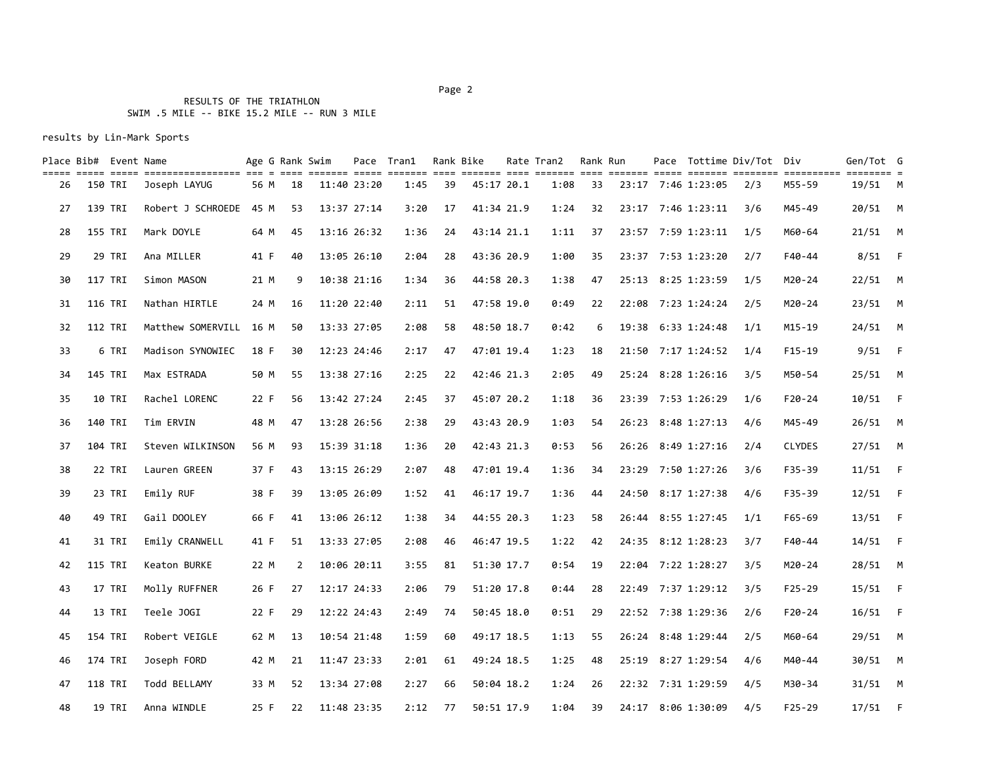#### Page 2 and 2 and 2 and 2 and 2 and 2 and 2 and 2 and 2 and 2 and 2 and 2 and 2 and 2 and 2 and 2 and 2 and 2

# RESULTS OF THE TRIATHLON SWIM .5 MILE -- BIKE 15.2 MILE -- RUN 3 MILE

| Place Bib# Event Name |                | title erich siche bescheibenende der d der denend dere denend der denen den anden den denen denen denende bescheid d |      | Age G Rank Swim |             | Pace Tran1 |    | Rank Bike  | Rate Tran2 | Rank Run |  |                    | Pace Tottime Div/Tot Div |               | Gen/Tot G |                |
|-----------------------|----------------|----------------------------------------------------------------------------------------------------------------------|------|-----------------|-------------|------------|----|------------|------------|----------|--|--------------------|--------------------------|---------------|-----------|----------------|
| 26                    | 150 TRI        | Joseph LAYUG                                                                                                         | 56 M | 18              | 11:40 23:20 | 1:45       | 39 | 45:17 20.1 | 1:08       | 33       |  | 23:17 7:46 1:23:05 | 2/3                      | M55-59        | 19/51     | <b>M</b>       |
| 27                    | 139 TRI        | Robert J SCHROEDE                                                                                                    | 45 M | 53              | 13:37 27:14 | 3:20       | 17 | 41:34 21.9 | 1:24       | 32       |  | 23:17 7:46 1:23:11 | 3/6                      | M45-49        | 20/51 M   |                |
| 28                    | 155 TRI        | Mark DOYLE                                                                                                           | 64 M | 45              | 13:16 26:32 | 1:36       | 24 | 43:14 21.1 | 1:11       | 37       |  | 23:57 7:59 1:23:11 | 1/5                      | M60-64        | $21/51$ M |                |
| 29                    | 29 TRI         | Ana MILLER                                                                                                           | 41 F | 40              | 13:05 26:10 | 2:04       | 28 | 43:36 20.9 | 1:00       | 35       |  | 23:37 7:53 1:23:20 | 2/7                      | F40-44        | $8/51$ F  |                |
| 30                    | 117 TRI        | Simon MASON                                                                                                          | 21 M | 9               | 10:38 21:16 | 1:34       | 36 | 44:58 20.3 | 1:38       | 47       |  | 25:13 8:25 1:23:59 | 1/5                      | $M20 - 24$    | $22/51$ M |                |
| 31                    | 116 TRI        | Nathan HIRTLE                                                                                                        | 24 M | 16              | 11:20 22:40 | 2:11       | 51 | 47:58 19.0 | 0:49       | 22       |  | 22:08 7:23 1:24:24 | 2/5                      | $M20 - 24$    | $23/51$ M |                |
| 32                    | 112 TRI        | Matthew SOMERVILL 16 M                                                                                               |      | 50              | 13:33 27:05 | 2:08       | 58 | 48:50 18.7 | 0:42       | 6        |  | 19:38 6:33 1:24:48 | 1/1                      | $M15 - 19$    | $24/51$ M |                |
| 33                    | 6 TRI          | Madison SYNOWIEC                                                                                                     | 18 F | 30              | 12:23 24:46 | 2:17       | 47 | 47:01 19.4 | 1:23       | 18       |  | 21:50 7:17 1:24:52 | 1/4                      | $F15-19$      | $9/51$ F  |                |
| 34                    | 145 TRI        | Max ESTRADA                                                                                                          | 50 M | 55              | 13:38 27:16 | 2:25       | 22 | 42:46 21.3 | 2:05       | 49       |  | 25:24 8:28 1:26:16 | 3/5                      | M50-54        | $25/51$ M |                |
| 35                    | 10 TRI         | Rachel LORENC                                                                                                        | 22 F | 56              | 13:42 27:24 | 2:45       | 37 | 45:07 20.2 | 1:18       | 36       |  | 23:39 7:53 1:26:29 | 1/6                      | $F20 - 24$    | 10/51     | $\overline{F}$ |
| 36                    | 140 TRI        | Tim ERVIN                                                                                                            | 48 M | 47              | 13:28 26:56 | 2:38       | 29 | 43:43 20.9 | 1:03       | 54       |  | 26:23 8:48 1:27:13 | 4/6                      | M45-49        | $26/51$ M |                |
| 37                    | 104 TRI        | Steven WILKINSON                                                                                                     | 56 M | 93              | 15:39 31:18 | 1:36       | 20 | 42:43 21.3 | 0:53       | 56       |  | 26:26 8:49 1:27:16 | 2/4                      | <b>CLYDES</b> | $27/51$ M |                |
| 38                    | 22 TRI         | Lauren GREEN                                                                                                         | 37 F | 43              | 13:15 26:29 | 2:07       | 48 | 47:01 19.4 | 1:36       | 34       |  | 23:29 7:50 1:27:26 | 3/6                      | $F35 - 39$    | 11/51     | $-F$           |
| 39                    | 23 TRI         | Emily RUF                                                                                                            | 38 F | 39              | 13:05 26:09 | 1:52       | 41 | 46:17 19.7 | 1:36       | 44       |  | 24:50 8:17 1:27:38 | 4/6                      | $F35 - 39$    | 12/51     | $-F$           |
| 40                    | 49 TRI         | Gail DOOLEY                                                                                                          | 66 F | 41              | 13:06 26:12 | 1:38       | 34 | 44:55 20.3 | 1:23       | 58       |  | 26:44 8:55 1:27:45 | 1/1                      | $F65 - 69$    | 13/51     | F              |
| 41                    | 31 TRI         | Emily CRANWELL                                                                                                       | 41 F | 51              | 13:33 27:05 | 2:08       | 46 | 46:47 19.5 | 1:22       | 42       |  | 24:35 8:12 1:28:23 | 3/7                      | F40-44        | 14/51     | $-F$           |
| 42                    | 115 TRI        | Keaton BURKE                                                                                                         | 22 M | $\overline{2}$  | 10:06 20:11 | 3:55       | 81 | 51:30 17.7 | 0:54       | 19       |  | 22:04 7:22 1:28:27 | 3/5                      | M20-24        | 28/51 M   |                |
| 43                    | 17 TRI         | Molly RUFFNER                                                                                                        | 26 F | 27              | 12:17 24:33 | 2:06       | 79 | 51:20 17.8 | 0:44       | 28       |  | 22:49 7:37 1:29:12 | 3/5                      | $F25 - 29$    | 15/51     | - F            |
| 44                    | 13 TRI         | Teele JOGI                                                                                                           | 22 F | 29              | 12:22 24:43 | 2:49       | 74 | 50:45 18.0 | 0:51       | 29       |  | 22:52 7:38 1:29:36 | 2/6                      | $F20 - 24$    | $16/51$ F |                |
| 45                    | 154 TRI        | Robert VEIGLE                                                                                                        | 62 M | 13              | 10:54 21:48 | 1:59       | 60 | 49:17 18.5 | 1:13       | 55       |  | 26:24 8:48 1:29:44 | 2/5                      | M60-64        | 29/51 M   |                |
| 46                    | 174 TRI        | Joseph FORD                                                                                                          | 42 M | 21              | 11:47 23:33 | 2:01       | 61 | 49:24 18.5 | 1:25       | 48       |  | 25:19 8:27 1:29:54 | 4/6                      | M40-44        | 30/51     | <b>M</b>       |
| 47                    | <b>118 TRI</b> | Todd BELLAMY                                                                                                         | 33 M | 52              | 13:34 27:08 | 2:27       | 66 | 50:04 18.2 | 1:24       | 26       |  | 22:32 7:31 1:29:59 | 4/5                      | M30-34        | $31/51$ M |                |
| 48                    | 19 TRI         | Anna WINDLE                                                                                                          | 25 F | 22              | 11:48 23:35 | 2:12       | 77 | 50:51 17.9 | 1:04       | 39       |  | 24:17 8:06 1:30:09 | 4/5                      | $F25 - 29$    | 17/51     | E              |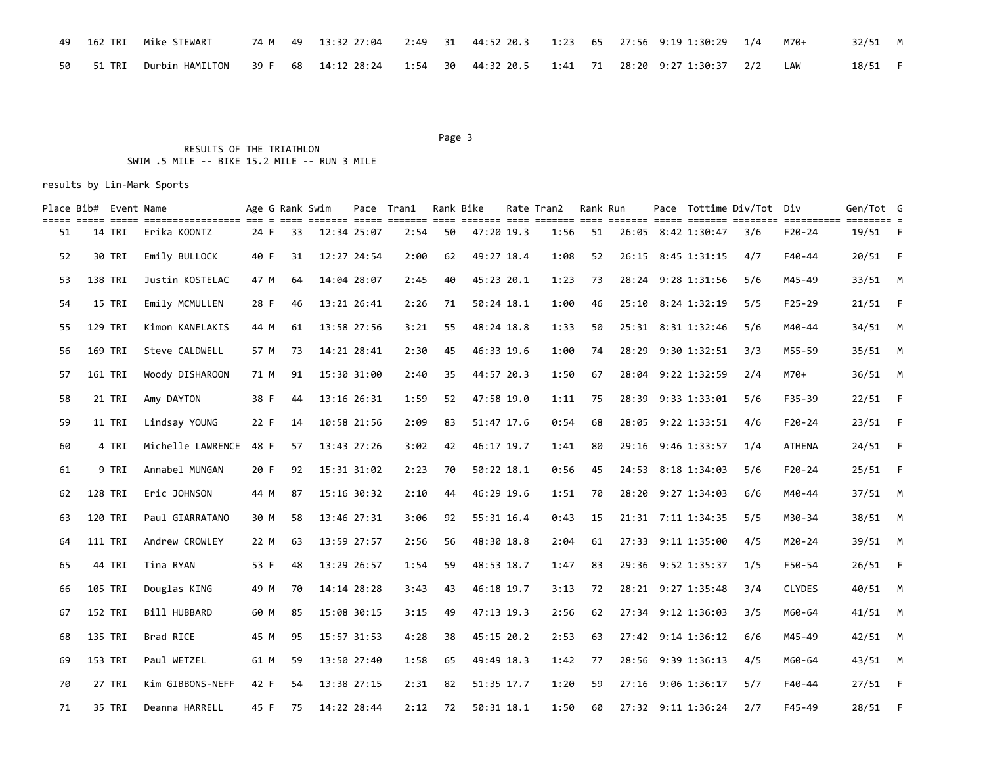|           | 49 162 TRI Mike STEWART                                                                                                  |  | 74 M 49 13:32 27:04 2:49 31 44:52 20.3 1:23 65 27:56 9:19 1:30:29 1/4 i |  |  |  |  | M70+ | 32/51 M |  |
|-----------|--------------------------------------------------------------------------------------------------------------------------|--|-------------------------------------------------------------------------|--|--|--|--|------|---------|--|
| 50 51 TRI | Durbin HAMILTON     39 F   68   14:12 28:24    1:54    30   44:32 20.5    1:41    71   28:20  9:27 1:30:37    2/2    LAW |  |                                                                         |  |  |  |  |      | 18/51 F |  |

#### Page 3 and 2012 and 2012 and 2012 and 2012 and 2012 and 2012 and 2012 and 2012 and 2012 and 2012 and 2012 and 2012 and 2012 and 2012 and 2012 and 2012 and 2012 and 2012 and 2012 and 2012 and 2012 and 2012 and 2012 and 2012

# RESULTS OF THE TRIATHLON SWIM .5 MILE -- BIKE 15.2 MILE -- RUN 3 MILE

|    | Place Bib# Event Name |        |                   |      | Age G Rank Swim |             | Pace Tran1 |    | Rank Bike  | Rate Tran2 | Rank Run |  |                    | Pace Tottime Div/Tot Div |               | Gen/Tot G |                |
|----|-----------------------|--------|-------------------|------|-----------------|-------------|------------|----|------------|------------|----------|--|--------------------|--------------------------|---------------|-----------|----------------|
| 51 |                       | 14 TRI | Erika KOONTZ      | 24 F | 33              | 12:34 25:07 | 2:54       | 50 | 47:20 19.3 | 1:56       | 51       |  | 26:05 8:42 1:30:47 | 3/6                      | $F20 - 24$    | 19/51 F   |                |
| 52 | 30 TRI                |        | Emily BULLOCK     | 40 F | 31              | 12:27 24:54 | 2:00       | 62 | 49:27 18.4 | 1:08       | 52       |  | 26:15 8:45 1:31:15 | 4/7                      | F40-44        | 20/51     | - F            |
| 53 | 138 TRI               |        | Justin KOSTELAC   | 47 M | 64              | 14:04 28:07 | 2:45       | 40 | 45:23 20.1 | 1:23       | 73       |  | 28:24 9:28 1:31:56 | 5/6                      | M45-49        | $33/51$ M |                |
| 54 | 15 TRI                |        | Emily MCMULLEN    | 28 F | 46              | 13:21 26:41 | 2:26       | 71 | 50:24 18.1 | 1:00       | 46       |  | 25:10 8:24 1:32:19 | 5/5                      | $F25 - 29$    | $21/51$ F |                |
| 55 | 129 TRI               |        | Kimon KANELAKIS   | 44 M | 61              | 13:58 27:56 | 3:21       | 55 | 48:24 18.8 | 1:33       | 50       |  | 25:31 8:31 1:32:46 | 5/6                      | M40-44        | 34/51     | <b>M</b>       |
| 56 | 169 TRI               |        | Steve CALDWELL    | 57 M | 73              | 14:21 28:41 | 2:30       | 45 | 46:33 19.6 | 1:00       | 74       |  | 28:29 9:30 1:32:51 | 3/3                      | M55-59        | $35/51$ M |                |
| 57 | 161 TRI               |        | Woody DISHAROON   | 71 M | 91              | 15:30 31:00 | 2:40       | 35 | 44:57 20.3 | 1:50       | 67       |  | 28:04 9:22 1:32:59 | 2/4                      | M70+          | 36/51 M   |                |
| 58 |                       | 21 TRI | Amy DAYTON        | 38 F | 44              | 13:16 26:31 | 1:59       | 52 | 47:58 19.0 | 1:11       | 75       |  | 28:39 9:33 1:33:01 | 5/6                      | F35-39        | $22/51$ F |                |
| 59 |                       | 11 TRI | Lindsay YOUNG     | 22 F | 14              | 10:58 21:56 | 2:09       | 83 | 51:47 17.6 | 0:54       | 68       |  | 28:05 9:22 1:33:51 | 4/6                      | $F20 - 24$    | 23/51     | $-F$           |
| 60 |                       | 4 TRI  | Michelle LAWRENCE | 48 F | 57              | 13:43 27:26 | 3:02       | 42 | 46:17 19.7 | 1:41       | 80       |  | 29:16 9:46 1:33:57 | 1/4                      | <b>ATHENA</b> | $24/51$ F |                |
| 61 |                       | 9 TRI  | Annabel MUNGAN    | 20 F | 92              | 15:31 31:02 | 2:23       | 70 | 50:22 18.1 | 0:56       | 45       |  | 24:53 8:18 1:34:03 | 5/6                      | $F20-24$      | $25/51$ F |                |
| 62 | 128 TRI               |        | Eric JOHNSON      | 44 M | 87              | 15:16 30:32 | 2:10       | 44 | 46:29 19.6 | 1:51       | 70       |  | 28:20 9:27 1:34:03 | 6/6                      | M40-44        | $37/51$ M |                |
| 63 | 120 TRI               |        | Paul GIARRATANO   | 30 M | 58              | 13:46 27:31 | 3:06       | 92 | 55:31 16.4 | 0:43       | 15       |  | 21:31 7:11 1:34:35 | 5/5                      | M30-34        | 38/51 M   |                |
| 64 | <b>111 TRI</b>        |        | Andrew CROWLEY    | 22 M | 63              | 13:59 27:57 | 2:56       | 56 | 48:30 18.8 | 2:04       | 61       |  | 27:33 9:11 1:35:00 | 4/5                      | M20-24        | 39/51 M   |                |
| 65 | 44 TRI                |        | Tina RYAN         | 53 F | 48              | 13:29 26:57 | 1:54       | 59 | 48:53 18.7 | 1:47       | 83       |  | 29:36 9:52 1:35:37 | 1/5                      | F50-54        | $26/51$ F |                |
| 66 | 105 TRI               |        | Douglas KING      | 49 M | 70              | 14:14 28:28 | 3:43       | 43 | 46:18 19.7 | 3:13       | 72       |  | 28:21 9:27 1:35:48 | 3/4                      | <b>CLYDES</b> | 40/51     | <b>M</b>       |
| 67 | 152 TRI               |        | Bill HUBBARD      | 60 M | 85              | 15:08 30:15 | 3:15       | 49 | 47:13 19.3 | 2:56       | 62       |  | 27:34 9:12 1:36:03 | 3/5                      | M60-64        | $41/51$ M |                |
| 68 | 135 TRI               |        | Brad RICE         | 45 M | 95              | 15:57 31:53 | 4:28       | 38 | 45:15 20.2 | 2:53       | 63       |  | 27:42 9:14 1:36:12 | 6/6                      | M45-49        | 42/51 M   |                |
| 69 | 153 TRI               |        | Paul WETZEL       | 61 M | 59              | 13:50 27:40 | 1:58       | 65 | 49:49 18.3 | 1:42       | 77       |  | 28:56 9:39 1:36:13 | 4/5                      | M60-64        | 43/51 M   |                |
| 70 |                       | 27 TRI | Kim GIBBONS-NEFF  | 42 F | 54              | 13:38 27:15 | 2:31       | 82 | 51:35 17.7 | 1:20       | 59       |  | 27:16 9:06 1:36:17 | 5/7                      | F40-44        | 27/51     | $\overline{F}$ |
| 71 |                       | 35 TRI | Deanna HARRELL    | 45 F | 75              | 14:22 28:44 | 2:12       | 72 | 50:31 18.1 | 1:50       | 60       |  | 27:32 9:11 1:36:24 | 2/7                      | $F45 - 49$    | 28/51     | $-F$           |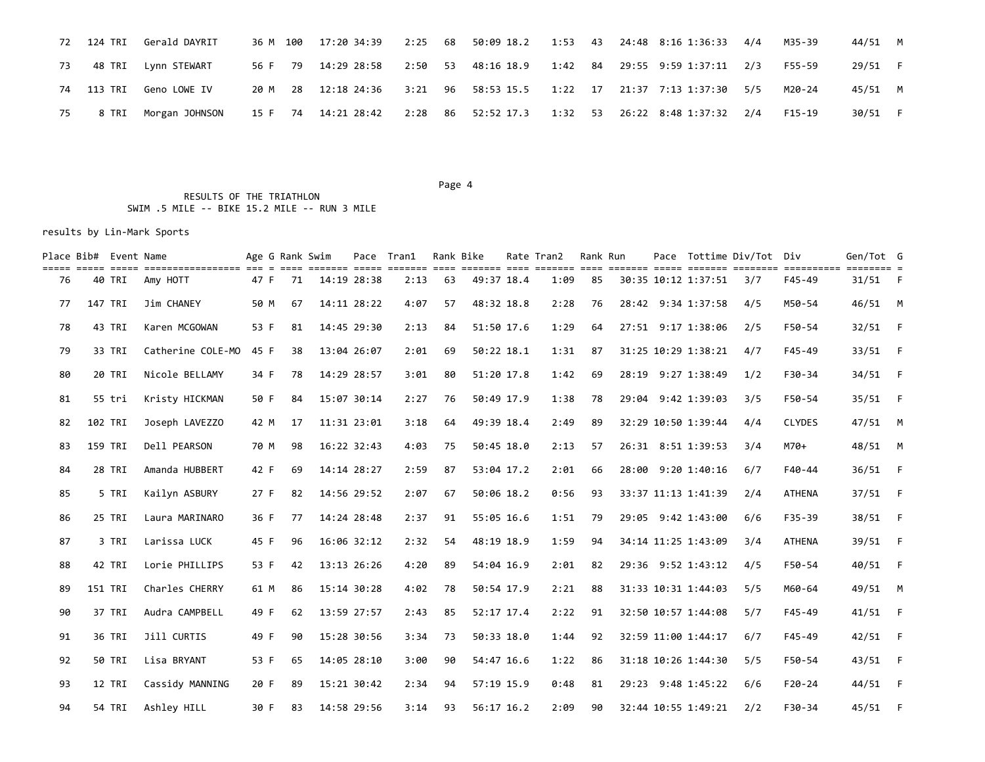|    | 72 124 TRI Gerald DAYRIT                                                                          |  | 36 M 100 17:20 34:39 2:25 68 50:09 18.2 1:53 43 24:48 8:16 1:36:33 4/4 |  |  |  |  | M35-39 | 44/51 M |  |
|----|---------------------------------------------------------------------------------------------------|--|------------------------------------------------------------------------|--|--|--|--|--------|---------|--|
| 73 | 48 TRI   Lynn STEWART                                                                             |  | 56 F 79 14:29 28:58 2:50 53 48:16 18.9 1:42 84 29:55 9:59 1:37:11 2/3  |  |  |  |  | F55-59 | 29/51 F |  |
|    | 74 113 TRI Geno LOWE IV                                                                           |  | 20 M 28 12:18 24:36 3:21 96 58:53 15.5 1:22 17 21:37 7:13 1:37:30 5/5  |  |  |  |  | M20-24 | 45/51 M |  |
| 75 | 8 TRI Morgan JOHNSON 15 F 74 14:21 28:42 2:28 86 52:52 17.3 1:32 53 26:22 8:48 1:37:32 2/4 F15-19 |  |                                                                        |  |  |  |  |        | 30/51 F |  |

Page 4

 RESULTS OF THE TRIATHLON SWIM .5 MILE -- BIKE 15.2 MILE -- RUN 3 MILE

|    | Place Bib# Event Name | till 1999 1999 1999-1999-1999 199 1 199 1999-1 1991 1999-1 1991 1999-1999 1991 1999 1999 1999 1999-1 1999-1999 1 |      | Age G Rank Swim |             | Pace Tran1 |    | Rank Bike    | Rate Tran2 | Rank Run |  |                     | Pace Tottime Div/Tot Div |               | Gen/Tot G |      |
|----|-----------------------|------------------------------------------------------------------------------------------------------------------|------|-----------------|-------------|------------|----|--------------|------------|----------|--|---------------------|--------------------------|---------------|-----------|------|
| 76 | 40 TRI                | Amy HOTT                                                                                                         | 47 F | 71              | 14:19 28:38 | 2:13       | 63 | 49:37 18.4   | 1:09       | 85       |  | 30:35 10:12 1:37:51 | 3/7                      | F45-49        | $31/51$ F |      |
| 77 | 147 TRI               | Jim CHANEY                                                                                                       | 50 M | 67              | 14:11 28:22 | 4:07       | 57 | 48:32 18.8   | 2:28       | 76       |  | 28:42 9:34 1:37:58  | 4/5                      | M50-54        | 46/51 M   |      |
| 78 | 43 TRI                | Karen MCGOWAN                                                                                                    | 53 F | 81              | 14:45 29:30 | 2:13       | 84 | 51:50 17.6   | 1:29       | 64       |  | 27:51 9:17 1:38:06  | 2/5                      | F50-54        | 32/51     | $-F$ |
| 79 | 33 TRI                | Catherine COLE-MO                                                                                                | 45 F | 38              | 13:04 26:07 | 2:01       | 69 | 50:22 18.1   | 1:31       | 87       |  | 31:25 10:29 1:38:21 | 4/7                      | $F45 - 49$    | 33/51     | $-F$ |
| 80 | 20 TRI                | Nicole BELLAMY                                                                                                   | 34 F | 78              | 14:29 28:57 | 3:01       | 80 | 51:20 17.8   | 1:42       | 69       |  | 28:19 9:27 1:38:49  | 1/2                      | F30-34        | 34/51 F   |      |
| 81 | 55 tri                | Kristy HICKMAN                                                                                                   | 50 F | 84              | 15:07 30:14 | 2:27       | 76 | 50:49 17.9   | 1:38       | 78       |  | 29:04 9:42 1:39:03  | 3/5                      | F50-54        | 35/51 F   |      |
| 82 | 102 TRI               | Joseph LAVEZZO                                                                                                   | 42 M | 17              | 11:31 23:01 | 3:18       | 64 | 49:39 18.4   | 2:49       | 89       |  | 32:29 10:50 1:39:44 | 4/4                      | <b>CLYDES</b> | 47/51 M   |      |
| 83 | 159 TRI               | Dell PEARSON                                                                                                     | 70 M | 98              | 16:22 32:43 | 4:03       | 75 | 50:45 18.0   | 2:13       | 57       |  | 26:31 8:51 1:39:53  | 3/4                      | M70+          | 48/51 M   |      |
| 84 | 28 TRI                | Amanda HUBBERT                                                                                                   | 42 F | 69              | 14:14 28:27 | 2:59       | 87 | 53:04 17.2   | 2:01       | 66       |  | 28:00 9:20 1:40:16  | 6/7                      | $F40 - 44$    | 36/51 F   |      |
| 85 | 5 TRI                 | Kailyn ASBURY                                                                                                    | 27 F | 82              | 14:56 29:52 | 2:07       | 67 | 50:06 18.2   | 0:56       | 93       |  | 33:37 11:13 1:41:39 | 2/4                      | <b>ATHENA</b> | 37/51 F   |      |
| 86 | 25 TRI                | Laura MARINARO                                                                                                   | 36 F | 77              | 14:24 28:48 | 2:37       | 91 | 55:05 16.6   | 1:51       | 79       |  | 29:05 9:42 1:43:00  | 6/6                      | $F35 - 39$    | 38/51 F   |      |
| 87 | 3 TRI                 | Larissa LUCK                                                                                                     | 45 F | 96              | 16:06 32:12 | 2:32       | 54 | 48:19 18.9   | 1:59       | 94       |  | 34:14 11:25 1:43:09 | 3/4                      | <b>ATHENA</b> | 39/51 F   |      |
| 88 | 42 TRI                | Lorie PHILLIPS                                                                                                   | 53 F | 42              | 13:13 26:26 | 4:20       | 89 | 54:04 16.9   | 2:01       | 82       |  | 29:36 9:52 1:43:12  | 4/5                      | F50-54        | 40/51 F   |      |
| 89 | 151 TRI               | Charles CHERRY                                                                                                   | 61 M | 86              | 15:14 30:28 | 4:02       | 78 | 50:54 17.9   | 2:21       | 88       |  | 31:33 10:31 1:44:03 | 5/5                      | M60-64        | 49/51 M   |      |
| 90 | 37 TRI                | Audra CAMPBELL                                                                                                   | 49 F | 62              | 13:59 27:57 | 2:43       | 85 | 52:17 17.4   | 2:22       | 91       |  | 32:50 10:57 1:44:08 | 5/7                      | $F45 - 49$    | 41/51     | $-F$ |
| 91 | 36 TRI                | Jill CURTIS                                                                                                      | 49 F | 90              | 15:28 30:56 | 3:34       | 73 | 50:33 18.0   | 1:44       | 92       |  | 32:59 11:00 1:44:17 | 6/7                      | $F45 - 49$    | $42/51$ F |      |
| 92 | 50 TRI                | Lisa BRYANT                                                                                                      | 53 F | 65              | 14:05 28:10 | 3:00       | 90 | 54:47 16.6   | 1:22       | 86       |  | 31:18 10:26 1:44:30 | 5/5                      | F50-54        | 43/51 F   |      |
| 93 | 12 TRI                | Cassidy MANNING                                                                                                  | 20 F | 89              | 15:21 30:42 | 2:34       | 94 | 57:19 15.9   | 0:48       | 81       |  | 29:23 9:48 1:45:22  | 6/6                      | $F20 - 24$    | 44/51     | $-F$ |
| 94 | 54 TRI                | Ashley HILL                                                                                                      | 30 F | 83              | 14:58 29:56 | 3:14       | 93 | $56:17$ 16.2 | 2:09       | 90       |  | 32:44 10:55 1:49:21 | 2/2                      | F30-34        | 45/51 F   |      |